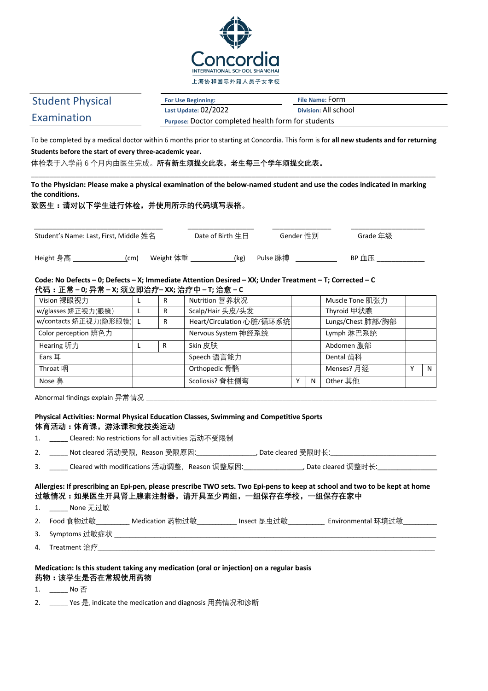

# Student Physical Examination

**For Use Beginning: File Name:** Form

**Last Update:** 02/2022 **Division:** All school **Purpose:** Doctor completed health form for students

To be completed by a medical doctor within 6 months prior to starting at Concordia. This form is for **all new students and for returning Students before the start of every three-academic year.**

体检表于入学前 6 个月内由医生完成。**所有新生须提交此表,老生每三个学年须提交此表。**

**To the Physician: Please make a physical examination of the below-named student and use the codes indicated in marking the conditions.**

\_\_\_\_\_\_\_\_\_\_\_\_\_\_\_\_\_\_\_\_\_\_\_\_\_\_\_\_\_\_\_\_\_\_\_\_\_\_\_\_\_\_\_\_\_\_\_\_\_\_\_\_\_\_\_\_\_\_\_\_\_\_\_\_\_\_\_\_\_\_\_\_\_\_\_\_\_\_\_\_\_\_\_\_\_\_\_\_\_\_\_\_\_\_\_\_\_\_\_\_\_\_\_\_\_\_\_\_\_\_

**致医生:请对以下学生进行体检,并使用所示的代码填写表格。**

| Student's Name: Last, First, Middle 姓名 |     |           | Date of Birth $# \boxminus$ | Gender 性别 | Grade 年级     |
|----------------------------------------|-----|-----------|-----------------------------|-----------|--------------|
| Height 身高                              | (cm | Weight 体重 | (kg)                        | Pulse 脉搏  | <b>BP</b> 血压 |

Code: No Defects - 0; Defects - X; Immediate Attention Desired - XX; Under Treatment - T; Corrected - C **代码:正常 – 0; 异常 – X; 须立即治疗– XX; 治疗中 – T; 治愈 – C**

| Vision 裸眼视力             | R |                     | Nutrition 营养状况            |            |                   | Muscle Tone 肌张力 |              |   |
|-------------------------|---|---------------------|---------------------------|------------|-------------------|-----------------|--------------|---|
| w/glasses 矫正视力(眼镜)      | R |                     | Scalp/Hair 头皮/头发          |            |                   | Thyroid 甲状腺     |              |   |
| w/contacts 矫正视力(隐形眼镜) L | R |                     | Heart/Circulation 心脏/循环系统 |            | Lungs/Chest 肺部/胸部 |                 |              |   |
| Color perception 辨色力    |   | Nervous System 神经系统 |                           | Lymph 淋巴系统 |                   |                 |              |   |
| Hearing 听力              |   | R                   | Skin 皮肤                   |            |                   | Abdomen 腹部      |              |   |
| Ears 耳                  |   | Speech 语言能力         |                           |            | Dental 齿科         |                 |              |   |
| Throat 咽                |   |                     | Orthopedic 骨骼             |            |                   | Menses? 月经      | $\checkmark$ | N |
| Nose 鼻                  |   |                     | Scoliosis? 脊柱侧弯           | v          | N                 | Other 其他        |              |   |

Abnormal findings explain 异常情况

# **Physical Activities: Normal Physical Education Classes, Swimming and Competitive Sports 体育活动:体育课,游泳课和竞技类运动**

|                                                                                                             | 1. Cleared: No restrictions for all activities 活动不受限制                                                                                                                                   |  |  |  |
|-------------------------------------------------------------------------------------------------------------|-----------------------------------------------------------------------------------------------------------------------------------------------------------------------------------------|--|--|--|
|                                                                                                             |                                                                                                                                                                                         |  |  |  |
|                                                                                                             | ________Cleared with modifications 活动调整,Reason 调整原因:_________________________Date cleared 调整时长:_______________                                                                          |  |  |  |
|                                                                                                             | Allergies: If prescribing an Epi-pen, please prescribe TWO sets. Two Epi-pens to keep at school and two to be kept at home<br>过敏情况:如果医生开具肾上腺素注射器,请开具至少两组,一组保存在学校,一组保存在家中<br>1. None 无过敏 |  |  |  |
|                                                                                                             | _2. Food 食物过敏___________ Medication 药物过敏_____________ Insect 昆虫过敏_____________ Environmental 环境过敏_________                                                                              |  |  |  |
|                                                                                                             |                                                                                                                                                                                         |  |  |  |
|                                                                                                             |                                                                                                                                                                                         |  |  |  |
| Medication: Is this student taking any medication (oral or injection) on a regular basis<br>药物:该学生是否在常规使用药物 |                                                                                                                                                                                         |  |  |  |

1. \_\_\_\_\_ No 否

2. \_\_\_\_\_\_\_\_ Yes 是, indicate the medication and diagnosis 用药情况和诊断 \_\_\_\_\_\_\_\_\_\_\_\_\_\_\_